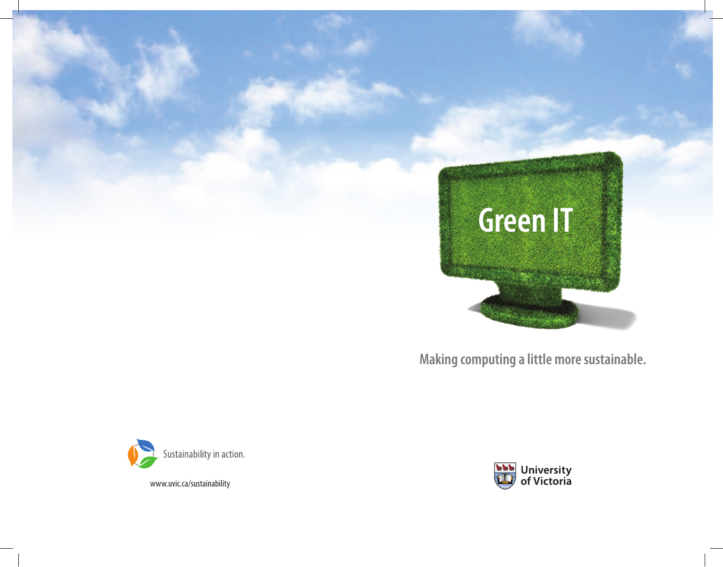

**Making computing a little more sustainable.**



www.uvic.ca/sustainability